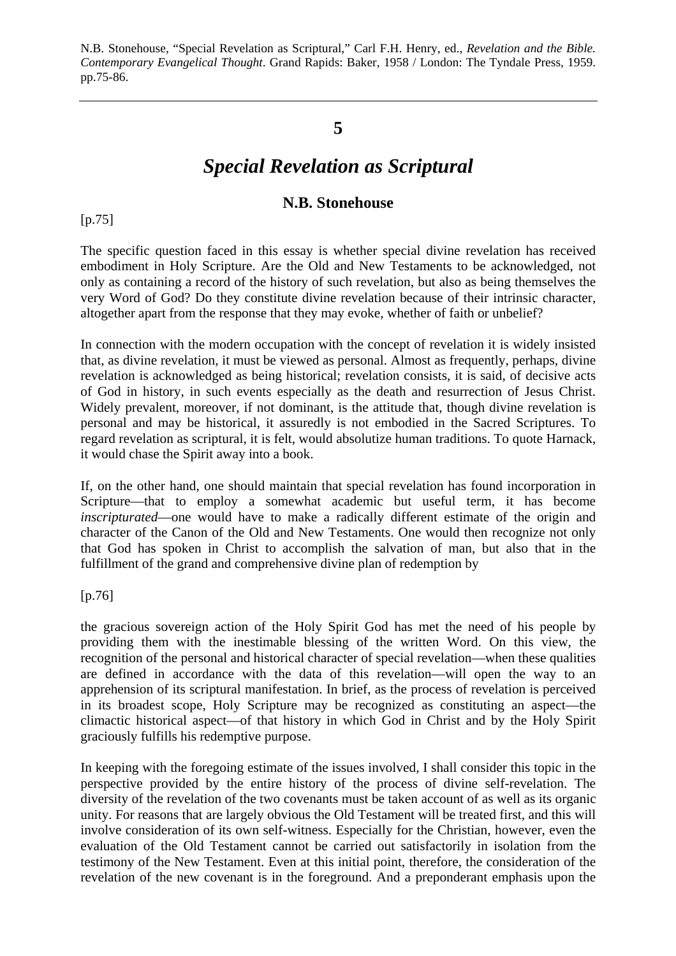# **5**

# *Special Revelation as Scriptural*

# **N.B. Stonehouse**

[p.75]

The specific question faced in this essay is whether special divine revelation has received embodiment in Holy Scripture. Are the Old and New Testaments to be acknowledged, not only as containing a record of the history of such revelation, but also as being themselves the very Word of God? Do they constitute divine revelation because of their intrinsic character, altogether apart from the response that they may evoke, whether of faith or unbelief?

In connection with the modern occupation with the concept of revelation it is widely insisted that, as divine revelation, it must be viewed as personal. Almost as frequently, perhaps, divine revelation is acknowledged as being historical; revelation consists, it is said, of decisive acts of God in history, in such events especially as the death and resurrection of Jesus Christ. Widely prevalent, moreover, if not dominant, is the attitude that, though divine revelation is personal and may be historical, it assuredly is not embodied in the Sacred Scriptures. To regard revelation as scriptural, it is felt, would absolutize human traditions. To quote Harnack, it would chase the Spirit away into a book.

If, on the other hand, one should maintain that special revelation has found incorporation in Scripture—that to employ a somewhat academic but useful term, it has become *inscripturated*—one would have to make a radically different estimate of the origin and character of the Canon of the Old and New Testaments. One would then recognize not only that God has spoken in Christ to accomplish the salvation of man, but also that in the fulfillment of the grand and comprehensive divine plan of redemption by

[p.76]

the gracious sovereign action of the Holy Spirit God has met the need of his people by providing them with the inestimable blessing of the written Word. On this view, the recognition of the personal and historical character of special revelation—when these qualities are defined in accordance with the data of this revelation—will open the way to an apprehension of its scriptural manifestation. In brief, as the process of revelation is perceived in its broadest scope, Holy Scripture may be recognized as constituting an aspect—the climactic historical aspect—of that history in which God in Christ and by the Holy Spirit graciously fulfills his redemptive purpose.

In keeping with the foregoing estimate of the issues involved, I shall consider this topic in the perspective provided by the entire history of the process of divine self-revelation. The diversity of the revelation of the two covenants must be taken account of as well as its organic unity. For reasons that are largely obvious the Old Testament will be treated first, and this will involve consideration of its own self-witness. Especially for the Christian, however, even the evaluation of the Old Testament cannot be carried out satisfactorily in isolation from the testimony of the New Testament. Even at this initial point, therefore, the consideration of the revelation of the new covenant is in the foreground. And a preponderant emphasis upon the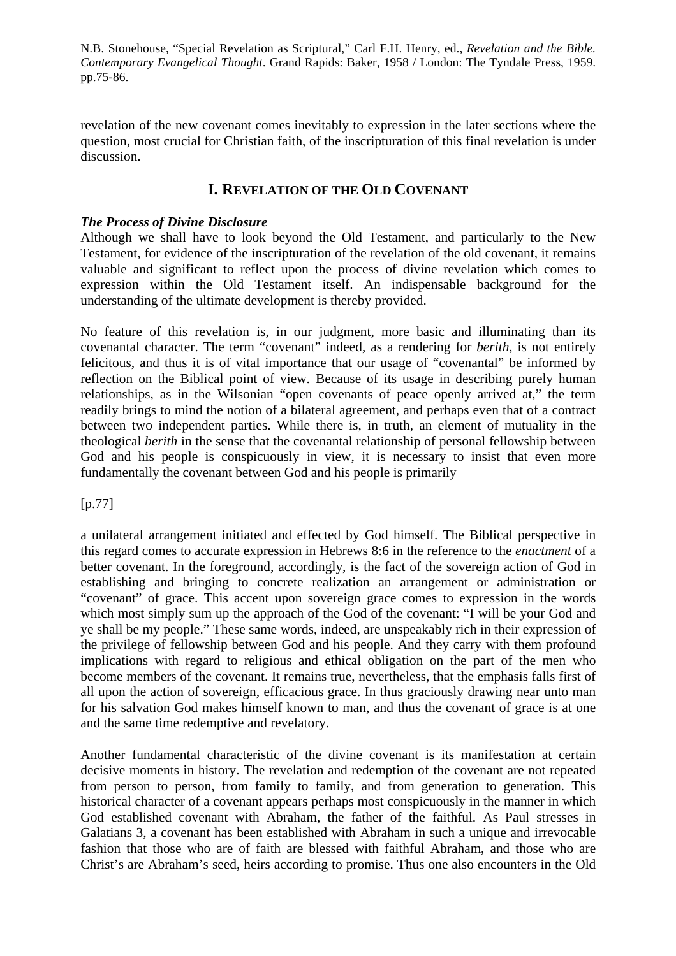revelation of the new covenant comes inevitably to expression in the later sections where the question, most crucial for Christian faith, of the inscripturation of this final revelation is under discussion.

## **I. REVELATION OF THE OLD COVENANT**

#### *The Process of Divine Disclosure*

Although we shall have to look beyond the Old Testament, and particularly to the New Testament, for evidence of the inscripturation of the revelation of the old covenant, it remains valuable and significant to reflect upon the process of divine revelation which comes to expression within the Old Testament itself. An indispensable background for the understanding of the ultimate development is thereby provided.

No feature of this revelation is, in our judgment, more basic and illuminating than its covenantal character. The term "covenant" indeed, as a rendering for *berith*, is not entirely felicitous, and thus it is of vital importance that our usage of "covenantal" be informed by reflection on the Biblical point of view. Because of its usage in describing purely human relationships, as in the Wilsonian "open covenants of peace openly arrived at," the term readily brings to mind the notion of a bilateral agreement, and perhaps even that of a contract between two independent parties. While there is, in truth, an element of mutuality in the theological *berith* in the sense that the covenantal relationship of personal fellowship between God and his people is conspicuously in view, it is necessary to insist that even more fundamentally the covenant between God and his people is primarily

[p.77]

a unilateral arrangement initiated and effected by God himself. The Biblical perspective in this regard comes to accurate expression in Hebrews 8:6 in the reference to the *enactment* of a better covenant. In the foreground, accordingly, is the fact of the sovereign action of God in establishing and bringing to concrete realization an arrangement or administration or "covenant" of grace. This accent upon sovereign grace comes to expression in the words which most simply sum up the approach of the God of the covenant: "I will be your God and ye shall be my people." These same words, indeed, are unspeakably rich in their expression of the privilege of fellowship between God and his people. And they carry with them profound implications with regard to religious and ethical obligation on the part of the men who become members of the covenant. It remains true, nevertheless, that the emphasis falls first of all upon the action of sovereign, efficacious grace. In thus graciously drawing near unto man for his salvation God makes himself known to man, and thus the covenant of grace is at one and the same time redemptive and revelatory.

Another fundamental characteristic of the divine covenant is its manifestation at certain decisive moments in history. The revelation and redemption of the covenant are not repeated from person to person, from family to family, and from generation to generation. This historical character of a covenant appears perhaps most conspicuously in the manner in which God established covenant with Abraham, the father of the faithful. As Paul stresses in Galatians 3, a covenant has been established with Abraham in such a unique and irrevocable fashion that those who are of faith are blessed with faithful Abraham, and those who are Christ's are Abraham's seed, heirs according to promise. Thus one also encounters in the Old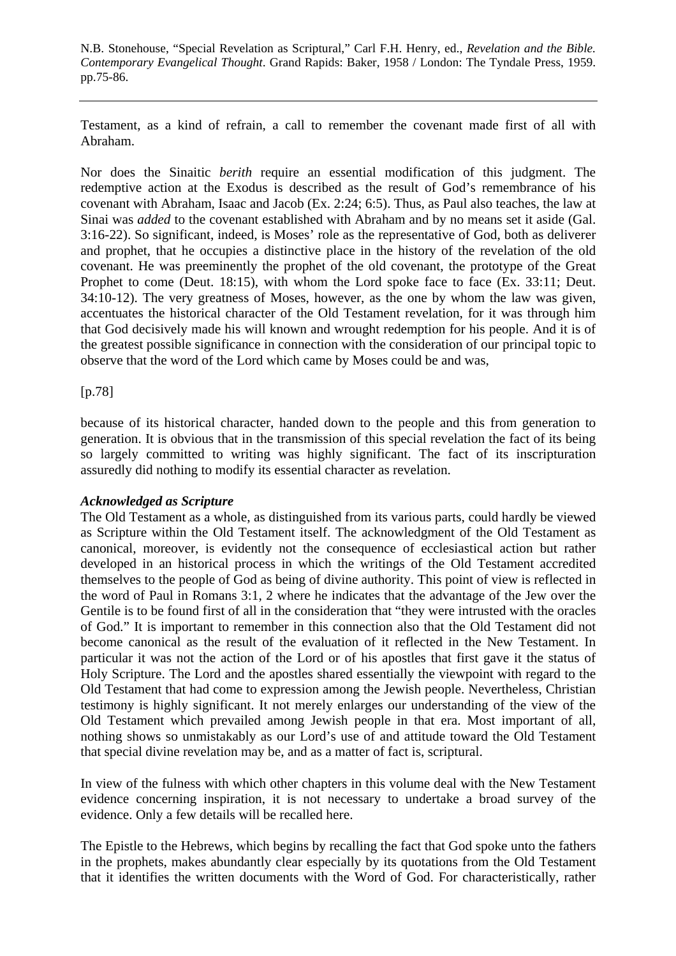Testament, as a kind of refrain, a call to remember the covenant made first of all with Abraham.

Nor does the Sinaitic *berith* require an essential modification of this judgment. The redemptive action at the Exodus is described as the result of God's remembrance of his covenant with Abraham, Isaac and Jacob (Ex. 2:24; 6:5). Thus, as Paul also teaches, the law at Sinai was *added* to the covenant established with Abraham and by no means set it aside (Gal. 3:16-22). So significant, indeed, is Moses' role as the representative of God, both as deliverer and prophet, that he occupies a distinctive place in the history of the revelation of the old covenant. He was preeminently the prophet of the old covenant, the prototype of the Great Prophet to come (Deut. 18:15), with whom the Lord spoke face to face (Ex. 33:11; Deut. 34:10-12). The very greatness of Moses, however, as the one by whom the law was given, accentuates the historical character of the Old Testament revelation, for it was through him that God decisively made his will known and wrought redemption for his people. And it is of the greatest possible significance in connection with the consideration of our principal topic to observe that the word of the Lord which came by Moses could be and was,

[p.78]

because of its historical character, handed down to the people and this from generation to generation. It is obvious that in the transmission of this special revelation the fact of its being so largely committed to writing was highly significant. The fact of its inscripturation assuredly did nothing to modify its essential character as revelation.

#### *Acknowledged as Scripture*

The Old Testament as a whole, as distinguished from its various parts, could hardly be viewed as Scripture within the Old Testament itself. The acknowledgment of the Old Testament as canonical, moreover, is evidently not the consequence of ecclesiastical action but rather developed in an historical process in which the writings of the Old Testament accredited themselves to the people of God as being of divine authority. This point of view is reflected in the word of Paul in Romans 3:1, 2 where he indicates that the advantage of the Jew over the Gentile is to be found first of all in the consideration that "they were intrusted with the oracles of God." It is important to remember in this connection also that the Old Testament did not become canonical as the result of the evaluation of it reflected in the New Testament. In particular it was not the action of the Lord or of his apostles that first gave it the status of Holy Scripture. The Lord and the apostles shared essentially the viewpoint with regard to the Old Testament that had come to expression among the Jewish people. Nevertheless, Christian testimony is highly significant. It not merely enlarges our understanding of the view of the Old Testament which prevailed among Jewish people in that era. Most important of all, nothing shows so unmistakably as our Lord's use of and attitude toward the Old Testament that special divine revelation may be, and as a matter of fact is, scriptural.

In view of the fulness with which other chapters in this volume deal with the New Testament evidence concerning inspiration, it is not necessary to undertake a broad survey of the evidence. Only a few details will be recalled here.

The Epistle to the Hebrews, which begins by recalling the fact that God spoke unto the fathers in the prophets, makes abundantly clear especially by its quotations from the Old Testament that it identifies the written documents with the Word of God. For characteristically, rather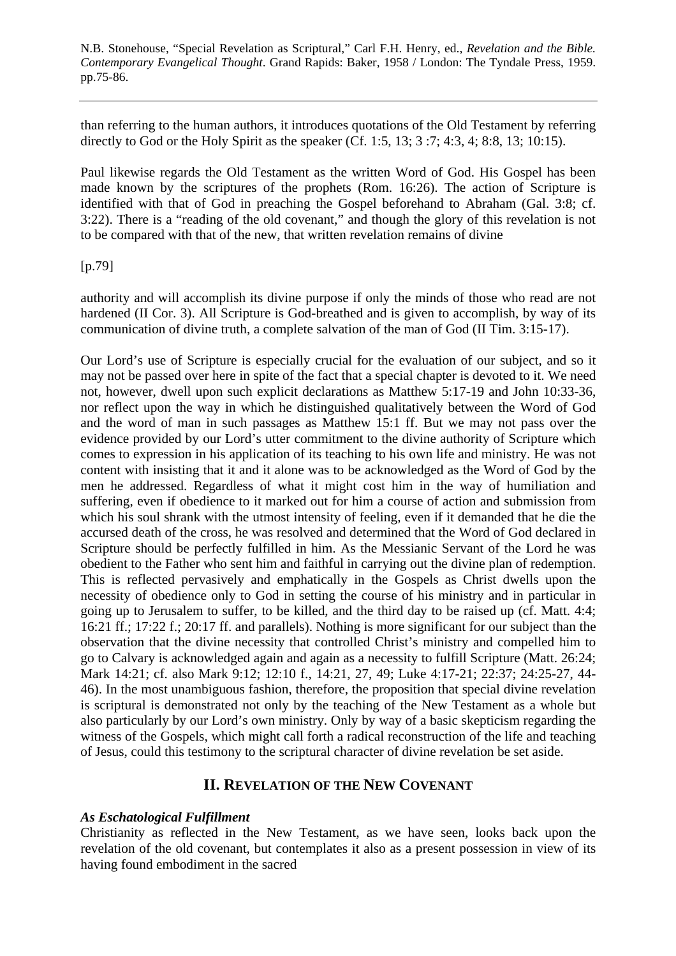than referring to the human authors, it introduces quotations of the Old Testament by referring directly to God or the Holy Spirit as the speaker (Cf. 1:5, 13; 3 :7; 4:3, 4; 8:8, 13; 10:15).

Paul likewise regards the Old Testament as the written Word of God. His Gospel has been made known by the scriptures of the prophets (Rom. 16:26). The action of Scripture is identified with that of God in preaching the Gospel beforehand to Abraham (Gal. 3:8; cf. 3:22). There is a "reading of the old covenant," and though the glory of this revelation is not to be compared with that of the new, that written revelation remains of divine

[p.79]

authority and will accomplish its divine purpose if only the minds of those who read are not hardened (II Cor. 3). All Scripture is God-breathed and is given to accomplish, by way of its communication of divine truth, a complete salvation of the man of God (II Tim. 3:15-17).

Our Lord's use of Scripture is especially crucial for the evaluation of our subject, and so it may not be passed over here in spite of the fact that a special chapter is devoted to it. We need not, however, dwell upon such explicit declarations as Matthew 5:17-19 and John 10:33-36, nor reflect upon the way in which he distinguished qualitatively between the Word of God and the word of man in such passages as Matthew 15:1 ff. But we may not pass over the evidence provided by our Lord's utter commitment to the divine authority of Scripture which comes to expression in his application of its teaching to his own life and ministry. He was not content with insisting that it and it alone was to be acknowledged as the Word of God by the men he addressed. Regardless of what it might cost him in the way of humiliation and suffering, even if obedience to it marked out for him a course of action and submission from which his soul shrank with the utmost intensity of feeling, even if it demanded that he die the accursed death of the cross, he was resolved and determined that the Word of God declared in Scripture should be perfectly fulfilled in him. As the Messianic Servant of the Lord he was obedient to the Father who sent him and faithful in carrying out the divine plan of redemption. This is reflected pervasively and emphatically in the Gospels as Christ dwells upon the necessity of obedience only to God in setting the course of his ministry and in particular in going up to Jerusalem to suffer, to be killed, and the third day to be raised up (cf. Matt. 4:4; 16:21 ff.; 17:22 f.; 20:17 ff. and parallels). Nothing is more significant for our subject than the observation that the divine necessity that controlled Christ's ministry and compelled him to go to Calvary is acknowledged again and again as a necessity to fulfill Scripture (Matt. 26:24; Mark 14:21; cf. also Mark 9:12; 12:10 f., 14:21, 27, 49; Luke 4:17-21; 22:37; 24:25-27, 44- 46). In the most unambiguous fashion, therefore, the proposition that special divine revelation is scriptural is demonstrated not only by the teaching of the New Testament as a whole but also particularly by our Lord's own ministry. Only by way of a basic skepticism regarding the witness of the Gospels, which might call forth a radical reconstruction of the life and teaching of Jesus, could this testimony to the scriptural character of divine revelation be set aside.

#### **II. REVELATION OF THE NEW COVENANT**

#### *As Eschatological Fulfillment*

Christianity as reflected in the New Testament, as we have seen, looks back upon the revelation of the old covenant, but contemplates it also as a present possession in view of its having found embodiment in the sacred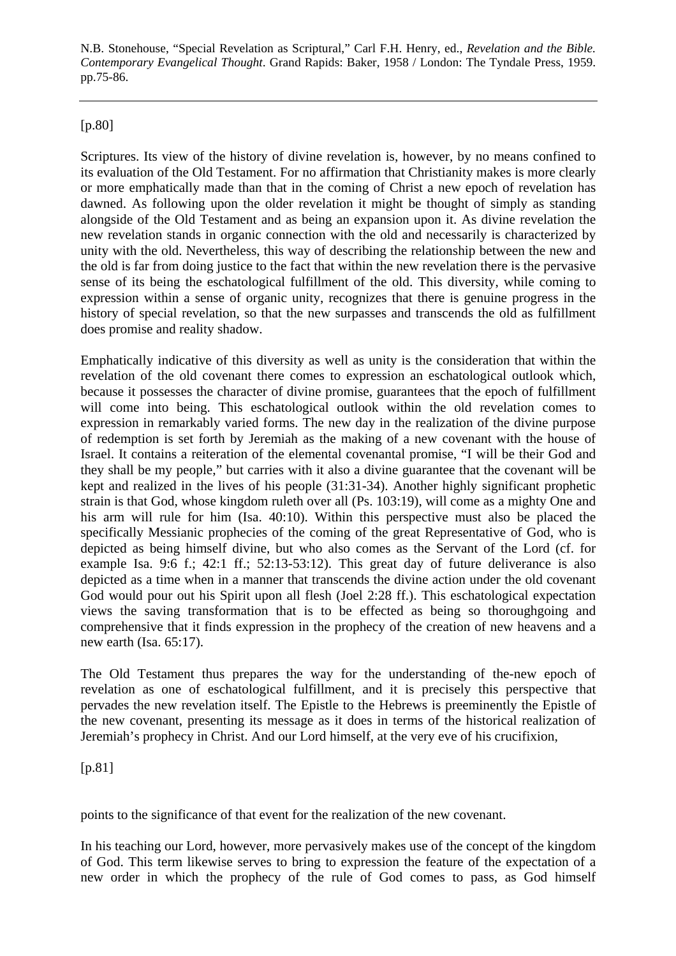## [p.80]

Scriptures. Its view of the history of divine revelation is, however, by no means confined to its evaluation of the Old Testament. For no affirmation that Christianity makes is more clearly or more emphatically made than that in the coming of Christ a new epoch of revelation has dawned. As following upon the older revelation it might be thought of simply as standing alongside of the Old Testament and as being an expansion upon it. As divine revelation the new revelation stands in organic connection with the old and necessarily is characterized by unity with the old. Nevertheless, this way of describing the relationship between the new and the old is far from doing justice to the fact that within the new revelation there is the pervasive sense of its being the eschatological fulfillment of the old. This diversity, while coming to expression within a sense of organic unity, recognizes that there is genuine progress in the history of special revelation, so that the new surpasses and transcends the old as fulfillment does promise and reality shadow.

Emphatically indicative of this diversity as well as unity is the consideration that within the revelation of the old covenant there comes to expression an eschatological outlook which, because it possesses the character of divine promise, guarantees that the epoch of fulfillment will come into being. This eschatological outlook within the old revelation comes to expression in remarkably varied forms. The new day in the realization of the divine purpose of redemption is set forth by Jeremiah as the making of a new covenant with the house of Israel. It contains a reiteration of the elemental covenantal promise, "I will be their God and they shall be my people," but carries with it also a divine guarantee that the covenant will be kept and realized in the lives of his people (31:31-34). Another highly significant prophetic strain is that God, whose kingdom ruleth over all (Ps. 103:19), will come as a mighty One and his arm will rule for him (Isa. 40:10). Within this perspective must also be placed the specifically Messianic prophecies of the coming of the great Representative of God, who is depicted as being himself divine, but who also comes as the Servant of the Lord (cf. for example Isa. 9:6 f.; 42:1 ff.; 52:13-53:12). This great day of future deliverance is also depicted as a time when in a manner that transcends the divine action under the old covenant God would pour out his Spirit upon all flesh (Joel 2:28 ff.). This eschatological expectation views the saving transformation that is to be effected as being so thoroughgoing and comprehensive that it finds expression in the prophecy of the creation of new heavens and a new earth (Isa. 65:17).

The Old Testament thus prepares the way for the understanding of the-new epoch of revelation as one of eschatological fulfillment, and it is precisely this perspective that pervades the new revelation itself. The Epistle to the Hebrews is preeminently the Epistle of the new covenant, presenting its message as it does in terms of the historical realization of Jeremiah's prophecy in Christ. And our Lord himself, at the very eve of his crucifixion,

[p.81]

points to the significance of that event for the realization of the new covenant.

In his teaching our Lord, however, more pervasively makes use of the concept of the kingdom of God. This term likewise serves to bring to expression the feature of the expectation of a new order in which the prophecy of the rule of God comes to pass, as God himself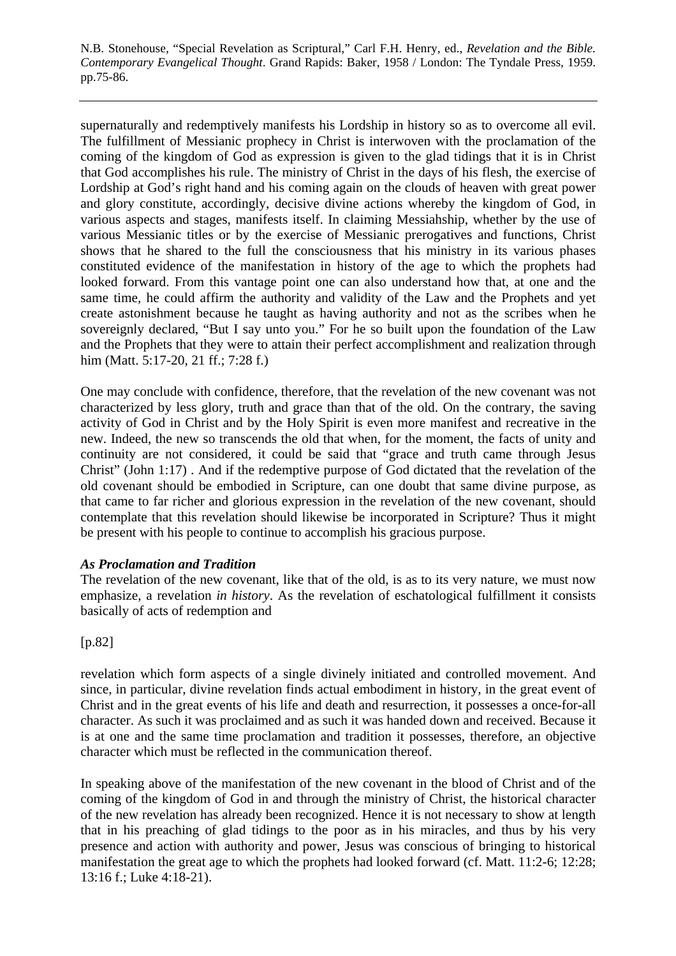supernaturally and redemptively manifests his Lordship in history so as to overcome all evil. The fulfillment of Messianic prophecy in Christ is interwoven with the proclamation of the coming of the kingdom of God as expression is given to the glad tidings that it is in Christ that God accomplishes his rule. The ministry of Christ in the days of his flesh, the exercise of Lordship at God's right hand and his coming again on the clouds of heaven with great power and glory constitute, accordingly, decisive divine actions whereby the kingdom of God, in various aspects and stages, manifests itself. In claiming Messiahship, whether by the use of various Messianic titles or by the exercise of Messianic prerogatives and functions, Christ shows that he shared to the full the consciousness that his ministry in its various phases constituted evidence of the manifestation in history of the age to which the prophets had looked forward. From this vantage point one can also understand how that, at one and the same time, he could affirm the authority and validity of the Law and the Prophets and yet create astonishment because he taught as having authority and not as the scribes when he sovereignly declared, "But I say unto you." For he so built upon the foundation of the Law and the Prophets that they were to attain their perfect accomplishment and realization through him (Matt. 5:17-20, 21 ff.; 7:28 f.)

One may conclude with confidence, therefore, that the revelation of the new covenant was not characterized by less glory, truth and grace than that of the old. On the contrary, the saving activity of God in Christ and by the Holy Spirit is even more manifest and recreative in the new. Indeed, the new so transcends the old that when, for the moment, the facts of unity and continuity are not considered, it could be said that "grace and truth came through Jesus Christ" (John 1:17) . And if the redemptive purpose of God dictated that the revelation of the old covenant should be embodied in Scripture, can one doubt that same divine purpose, as that came to far richer and glorious expression in the revelation of the new covenant, should contemplate that this revelation should likewise be incorporated in Scripture? Thus it might be present with his people to continue to accomplish his gracious purpose.

#### *As Proclamation and Tradition*

The revelation of the new covenant, like that of the old, is as to its very nature, we must now emphasize, a revelation *in history*. As the revelation of eschatological fulfillment it consists basically of acts of redemption and

[p.82]

revelation which form aspects of a single divinely initiated and controlled movement. And since, in particular, divine revelation finds actual embodiment in history, in the great event of Christ and in the great events of his life and death and resurrection, it possesses a once-for-all character. As such it was proclaimed and as such it was handed down and received. Because it is at one and the same time proclamation and tradition it possesses, therefore, an objective character which must be reflected in the communication thereof.

In speaking above of the manifestation of the new covenant in the blood of Christ and of the coming of the kingdom of God in and through the ministry of Christ, the historical character of the new revelation has already been recognized. Hence it is not necessary to show at length that in his preaching of glad tidings to the poor as in his miracles, and thus by his very presence and action with authority and power, Jesus was conscious of bringing to historical manifestation the great age to which the prophets had looked forward (cf. Matt. 11:2-6; 12:28; 13:16 f.; Luke 4:18-21).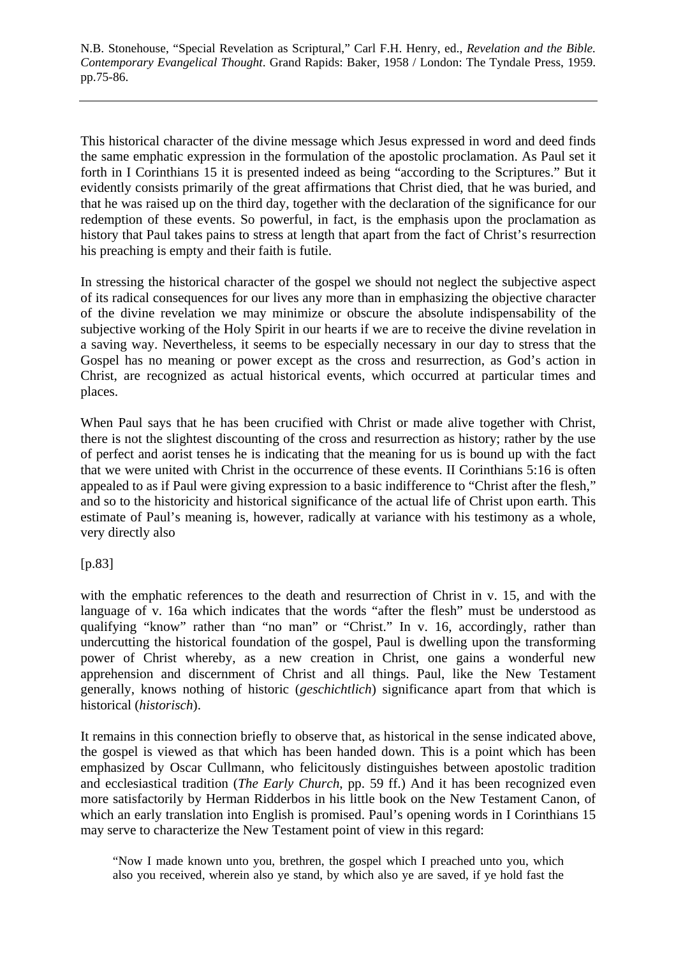This historical character of the divine message which Jesus expressed in word and deed finds the same emphatic expression in the formulation of the apostolic proclamation. As Paul set it forth in I Corinthians 15 it is presented indeed as being "according to the Scriptures." But it evidently consists primarily of the great affirmations that Christ died, that he was buried, and that he was raised up on the third day, together with the declaration of the significance for our redemption of these events. So powerful, in fact, is the emphasis upon the proclamation as history that Paul takes pains to stress at length that apart from the fact of Christ's resurrection his preaching is empty and their faith is futile.

In stressing the historical character of the gospel we should not neglect the subjective aspect of its radical consequences for our lives any more than in emphasizing the objective character of the divine revelation we may minimize or obscure the absolute indispensability of the subjective working of the Holy Spirit in our hearts if we are to receive the divine revelation in a saving way. Nevertheless, it seems to be especially necessary in our day to stress that the Gospel has no meaning or power except as the cross and resurrection, as God's action in Christ, are recognized as actual historical events, which occurred at particular times and places.

When Paul says that he has been crucified with Christ or made alive together with Christ, there is not the slightest discounting of the cross and resurrection as history; rather by the use of perfect and aorist tenses he is indicating that the meaning for us is bound up with the fact that we were united with Christ in the occurrence of these events. II Corinthians 5:16 is often appealed to as if Paul were giving expression to a basic indifference to "Christ after the flesh," and so to the historicity and historical significance of the actual life of Christ upon earth. This estimate of Paul's meaning is, however, radically at variance with his testimony as a whole, very directly also

#### [p.83]

with the emphatic references to the death and resurrection of Christ in v. 15, and with the language of v. 16a which indicates that the words "after the flesh" must be understood as qualifying "know" rather than "no man" or "Christ." In v. 16, accordingly, rather than undercutting the historical foundation of the gospel, Paul is dwelling upon the transforming power of Christ whereby, as a new creation in Christ, one gains a wonderful new apprehension and discernment of Christ and all things. Paul, like the New Testament generally, knows nothing of historic (*geschichtlich*) significance apart from that which is historical (*historisch*).

It remains in this connection briefly to observe that, as historical in the sense indicated above, the gospel is viewed as that which has been handed down. This is a point which has been emphasized by Oscar Cullmann, who felicitously distinguishes between apostolic tradition and ecclesiastical tradition (*The Early Church*, pp. 59 ff.) And it has been recognized even more satisfactorily by Herman Ridderbos in his little book on the New Testament Canon, of which an early translation into English is promised. Paul's opening words in I Corinthians 15 may serve to characterize the New Testament point of view in this regard:

"Now I made known unto you, brethren, the gospel which I preached unto you, which also you received, wherein also ye stand, by which also ye are saved, if ye hold fast the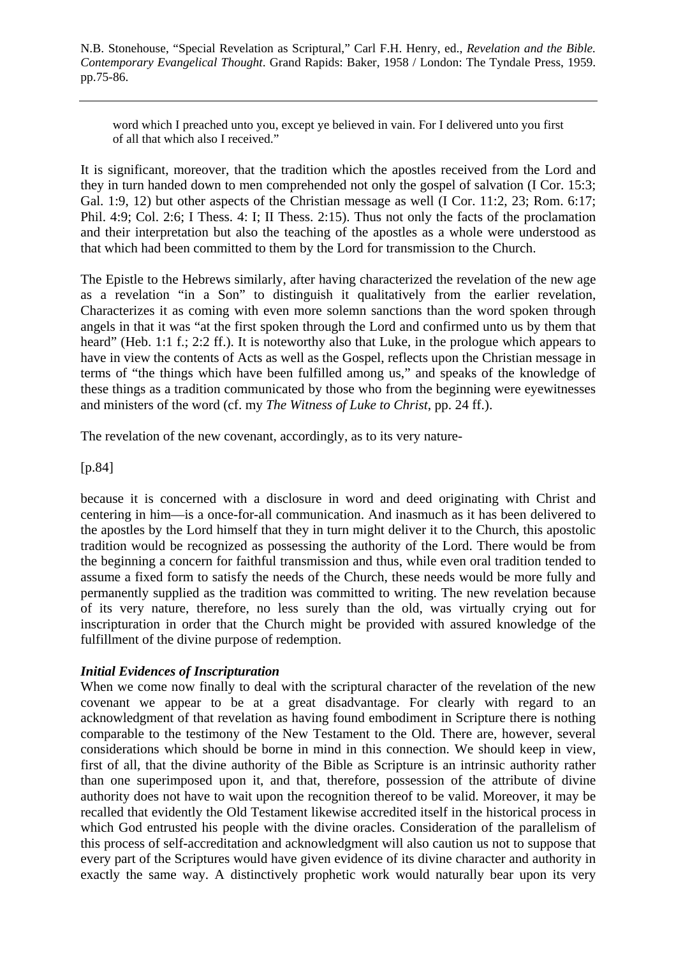word which I preached unto you, except ye believed in vain. For I delivered unto you first of all that which also I received."

It is significant, moreover, that the tradition which the apostles received from the Lord and they in turn handed down to men comprehended not only the gospel of salvation (I Cor. 15:3; Gal. 1:9, 12) but other aspects of the Christian message as well (I Cor. 11:2, 23; Rom. 6:17; Phil. 4:9; Col. 2:6; I Thess. 4: I; II Thess. 2:15). Thus not only the facts of the proclamation and their interpretation but also the teaching of the apostles as a whole were understood as that which had been committed to them by the Lord for transmission to the Church.

The Epistle to the Hebrews similarly, after having characterized the revelation of the new age as a revelation "in a Son" to distinguish it qualitatively from the earlier revelation, Characterizes it as coming with even more solemn sanctions than the word spoken through angels in that it was "at the first spoken through the Lord and confirmed unto us by them that heard" (Heb. 1:1 f.; 2:2 ff.). It is noteworthy also that Luke, in the prologue which appears to have in view the contents of Acts as well as the Gospel, reflects upon the Christian message in terms of "the things which have been fulfilled among us," and speaks of the knowledge of these things as a tradition communicated by those who from the beginning were eyewitnesses and ministers of the word (cf. my *The Witness of Luke to Christ*, pp. 24 ff.).

The revelation of the new covenant, accordingly, as to its very nature-

[p.84]

because it is concerned with a disclosure in word and deed originating with Christ and centering in him—is a once-for-all communication. And inasmuch as it has been delivered to the apostles by the Lord himself that they in turn might deliver it to the Church, this apostolic tradition would be recognized as possessing the authority of the Lord. There would be from the beginning a concern for faithful transmission and thus, while even oral tradition tended to assume a fixed form to satisfy the needs of the Church, these needs would be more fully and permanently supplied as the tradition was committed to writing. The new revelation because of its very nature, therefore, no less surely than the old, was virtually crying out for inscripturation in order that the Church might be provided with assured knowledge of the fulfillment of the divine purpose of redemption.

#### *Initial Evidences of Inscripturation*

When we come now finally to deal with the scriptural character of the revelation of the new covenant we appear to be at a great disadvantage. For clearly with regard to an acknowledgment of that revelation as having found embodiment in Scripture there is nothing comparable to the testimony of the New Testament to the Old. There are, however, several considerations which should be borne in mind in this connection. We should keep in view, first of all, that the divine authority of the Bible as Scripture is an intrinsic authority rather than one superimposed upon it, and that, therefore, possession of the attribute of divine authority does not have to wait upon the recognition thereof to be valid. Moreover, it may be recalled that evidently the Old Testament likewise accredited itself in the historical process in which God entrusted his people with the divine oracles. Consideration of the parallelism of this process of self-accreditation and acknowledgment will also caution us not to suppose that every part of the Scriptures would have given evidence of its divine character and authority in exactly the same way. A distinctively prophetic work would naturally bear upon its very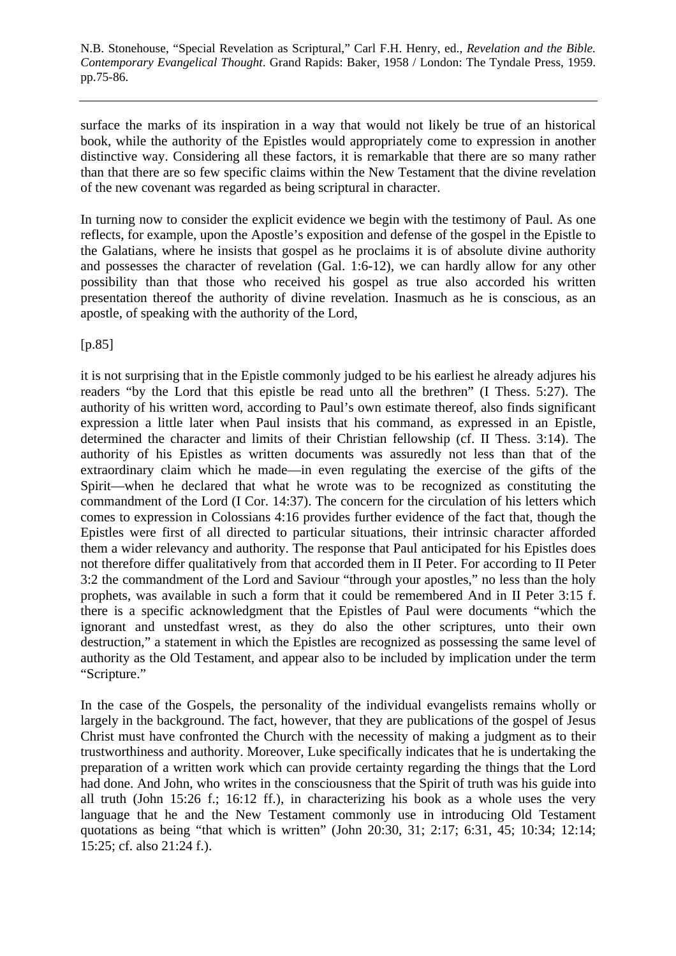surface the marks of its inspiration in a way that would not likely be true of an historical book, while the authority of the Epistles would appropriately come to expression in another distinctive way. Considering all these factors, it is remarkable that there are so many rather than that there are so few specific claims within the New Testament that the divine revelation of the new covenant was regarded as being scriptural in character.

In turning now to consider the explicit evidence we begin with the testimony of Paul. As one reflects, for example, upon the Apostle's exposition and defense of the gospel in the Epistle to the Galatians, where he insists that gospel as he proclaims it is of absolute divine authority and possesses the character of revelation (Gal. 1:6-12), we can hardly allow for any other possibility than that those who received his gospel as true also accorded his written presentation thereof the authority of divine revelation. Inasmuch as he is conscious, as an apostle, of speaking with the authority of the Lord,

 $[p.85]$ 

it is not surprising that in the Epistle commonly judged to be his earliest he already adjures his readers "by the Lord that this epistle be read unto all the brethren" (I Thess. 5:27). The authority of his written word, according to Paul's own estimate thereof, also finds significant expression a little later when Paul insists that his command, as expressed in an Epistle, determined the character and limits of their Christian fellowship (cf. II Thess. 3:14). The authority of his Epistles as written documents was assuredly not less than that of the extraordinary claim which he made—in even regulating the exercise of the gifts of the Spirit—when he declared that what he wrote was to be recognized as constituting the commandment of the Lord (I Cor. 14:37). The concern for the circulation of his letters which comes to expression in Colossians 4:16 provides further evidence of the fact that, though the Epistles were first of all directed to particular situations, their intrinsic character afforded them a wider relevancy and authority. The response that Paul anticipated for his Epistles does not therefore differ qualitatively from that accorded them in II Peter. For according to II Peter 3:2 the commandment of the Lord and Saviour "through your apostles," no less than the holy prophets, was available in such a form that it could be remembered And in II Peter 3:15 f. there is a specific acknowledgment that the Epistles of Paul were documents "which the ignorant and unstedfast wrest, as they do also the other scriptures, unto their own destruction," a statement in which the Epistles are recognized as possessing the same level of authority as the Old Testament, and appear also to be included by implication under the term "Scripture."

In the case of the Gospels, the personality of the individual evangelists remains wholly or largely in the background. The fact, however, that they are publications of the gospel of Jesus Christ must have confronted the Church with the necessity of making a judgment as to their trustworthiness and authority. Moreover, Luke specifically indicates that he is undertaking the preparation of a written work which can provide certainty regarding the things that the Lord had done. And John, who writes in the consciousness that the Spirit of truth was his guide into all truth (John 15:26 f.; 16:12 ff.), in characterizing his book as a whole uses the very language that he and the New Testament commonly use in introducing Old Testament quotations as being "that which is written" (John 20:30, 31; 2:17; 6:31, 45; 10:34; 12:14; 15:25; cf. also 21:24 f.).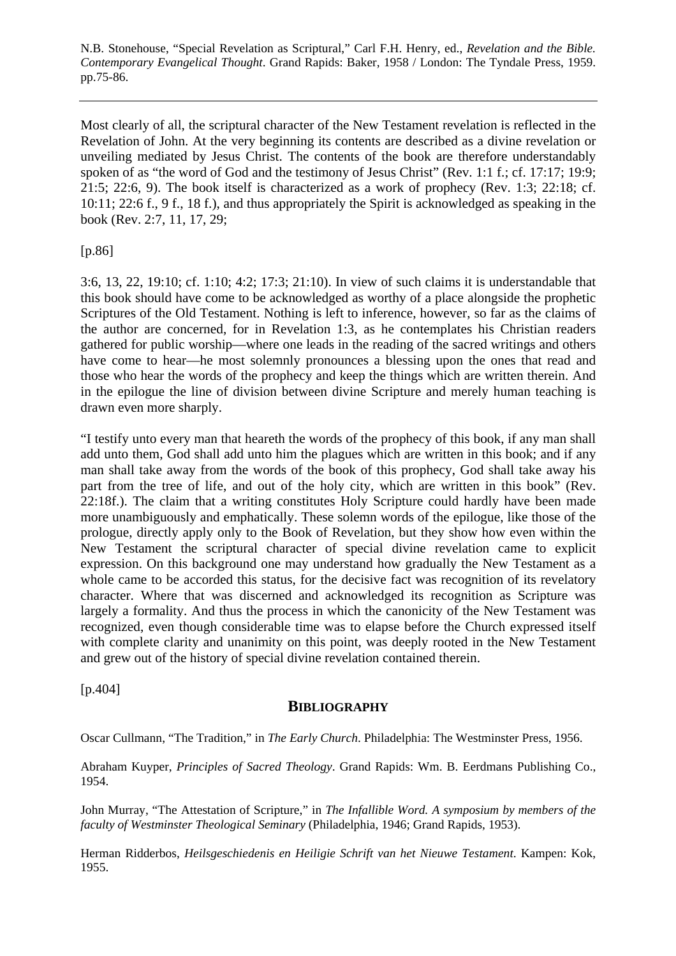Most clearly of all, the scriptural character of the New Testament revelation is reflected in the Revelation of John. At the very beginning its contents are described as a divine revelation or unveiling mediated by Jesus Christ. The contents of the book are therefore understandably spoken of as "the word of God and the testimony of Jesus Christ" (Rev. 1:1 f.; cf. 17:17; 19:9; 21:5; 22:6, 9). The book itself is characterized as a work of prophecy (Rev. 1:3; 22:18; cf. 10:11; 22:6 f., 9 f., 18 f.), and thus appropriately the Spirit is acknowledged as speaking in the book (Rev. 2:7, 11, 17, 29;

[p.86]

3:6, 13, 22, 19:10; cf. 1:10; 4:2; 17:3; 21:10). In view of such claims it is understandable that this book should have come to be acknowledged as worthy of a place alongside the prophetic Scriptures of the Old Testament. Nothing is left to inference, however, so far as the claims of the author are concerned, for in Revelation 1:3, as he contemplates his Christian readers gathered for public worship—where one leads in the reading of the sacred writings and others have come to hear—he most solemnly pronounces a blessing upon the ones that read and those who hear the words of the prophecy and keep the things which are written therein. And in the epilogue the line of division between divine Scripture and merely human teaching is drawn even more sharply.

"I testify unto every man that heareth the words of the prophecy of this book, if any man shall add unto them, God shall add unto him the plagues which are written in this book; and if any man shall take away from the words of the book of this prophecy, God shall take away his part from the tree of life, and out of the holy city, which are written in this book" (Rev. 22:18f.). The claim that a writing constitutes Holy Scripture could hardly have been made more unambiguously and emphatically. These solemn words of the epilogue, like those of the prologue, directly apply only to the Book of Revelation, but they show how even within the New Testament the scriptural character of special divine revelation came to explicit expression. On this background one may understand how gradually the New Testament as a whole came to be accorded this status, for the decisive fact was recognition of its revelatory character. Where that was discerned and acknowledged its recognition as Scripture was largely a formality. And thus the process in which the canonicity of the New Testament was recognized, even though considerable time was to elapse before the Church expressed itself with complete clarity and unanimity on this point, was deeply rooted in the New Testament and grew out of the history of special divine revelation contained therein.

[p.404]

# **BIBLIOGRAPHY**

Oscar Cullmann, "The Tradition," in *The Early Church*. Philadelphia: The Westminster Press, 1956.

Abraham Kuyper, *Principles of Sacred Theology*. Grand Rapids: Wm. B. Eerdmans Publishing Co., 1954.

John Murray, "The Attestation of Scripture," in *The Infallible Word. A symposium by members of the faculty of Westminster Theological Seminary* (Philadelphia, 1946; Grand Rapids, 1953).

Herman Ridderbos, *Heilsgeschiedenis en Heiligie Schrift van het Nieuwe Testament*. Kampen: Kok, 1955.